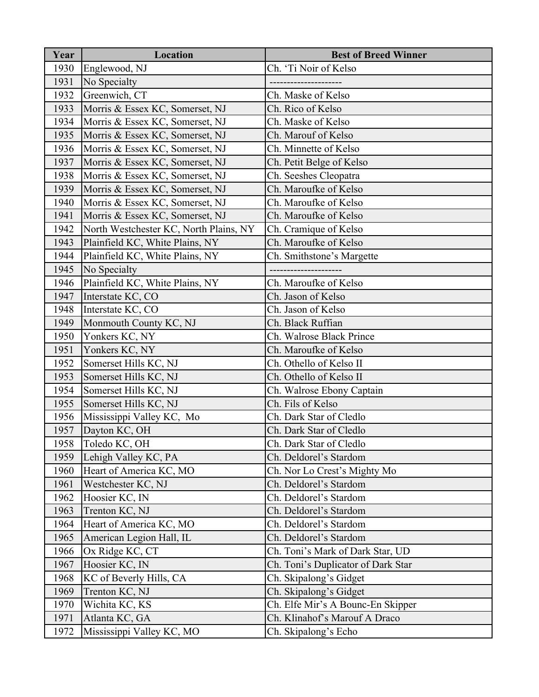| Year | Location                               | <b>Best of Breed Winner</b>        |
|------|----------------------------------------|------------------------------------|
| 1930 | Englewood, NJ                          | Ch. 'Ti Noir of Kelso              |
| 1931 | No Specialty                           |                                    |
| 1932 | Greenwich, CT                          | Ch. Maske of Kelso                 |
| 1933 | Morris & Essex KC, Somerset, NJ        | Ch. Rico of Kelso                  |
| 1934 | Morris & Essex KC, Somerset, NJ        | Ch. Maske of Kelso                 |
| 1935 | Morris & Essex KC, Somerset, NJ        | Ch. Marouf of Kelso                |
| 1936 | Morris & Essex KC, Somerset, NJ        | Ch. Minnette of Kelso              |
| 1937 | Morris & Essex KC, Somerset, NJ        | Ch. Petit Belge of Kelso           |
| 1938 | Morris & Essex KC, Somerset, NJ        | Ch. Seeshes Cleopatra              |
| 1939 | Morris & Essex KC, Somerset, NJ        | Ch. Maroufke of Kelso              |
| 1940 | Morris & Essex KC, Somerset, NJ        | Ch. Maroufke of Kelso              |
| 1941 | Morris & Essex KC, Somerset, NJ        | Ch. Maroufke of Kelso              |
| 1942 | North Westchester KC, North Plains, NY | Ch. Cramique of Kelso              |
| 1943 | Plainfield KC, White Plains, NY        | Ch. Maroufke of Kelso              |
| 1944 | Plainfield KC, White Plains, NY        | Ch. Smithstone's Margette          |
| 1945 | No Specialty                           |                                    |
| 1946 | Plainfield KC, White Plains, NY        | Ch. Maroufke of Kelso              |
| 1947 | Interstate KC, CO                      | Ch. Jason of Kelso                 |
| 1948 | Interstate KC, CO                      | Ch. Jason of Kelso                 |
| 1949 | Monmouth County KC, NJ                 | Ch. Black Ruffian                  |
| 1950 | Yonkers KC, NY                         | Ch. Walrose Black Prince           |
| 1951 | Yonkers KC, NY                         | Ch. Maroufke of Kelso              |
| 1952 | Somerset Hills KC, NJ                  | Ch. Othello of Kelso II            |
| 1953 | Somerset Hills KC, NJ                  | Ch. Othello of Kelso II            |
| 1954 | Somerset Hills KC, NJ                  | Ch. Walrose Ebony Captain          |
| 1955 | Somerset Hills KC, NJ                  | Ch. Fils of Kelso                  |
| 1956 | Mississippi Valley KC, Mo              | Ch. Dark Star of Cledlo            |
| 1957 | Dayton KC, OH                          | Ch. Dark Star of Cledlo            |
| 1958 | Toledo KC, OH                          | Ch. Dark Star of Cledlo            |
| 1959 | Lehigh Valley KC, PA                   | Ch. Deldorel's Stardom             |
| 1960 | Heart of America KC, MO                | Ch. Nor Lo Crest's Mighty Mo       |
| 1961 | Westchester KC, NJ                     | Ch. Deldorel's Stardom             |
| 1962 | Hoosier KC, IN                         | Ch. Deldorel's Stardom             |
| 1963 | Trenton KC, NJ                         | Ch. Deldorel's Stardom             |
| 1964 | Heart of America KC, MO                | Ch. Deldorel's Stardom             |
| 1965 | American Legion Hall, IL               | Ch. Deldorel's Stardom             |
| 1966 | Ox Ridge KC, CT                        | Ch. Toni's Mark of Dark Star, UD   |
| 1967 | Hoosier KC, IN                         | Ch. Toni's Duplicator of Dark Star |
| 1968 | KC of Beverly Hills, CA                | Ch. Skipalong's Gidget             |
| 1969 | Trenton KC, NJ                         | Ch. Skipalong's Gidget             |
| 1970 | Wichita KC, KS                         | Ch. Elfe Mir's A Bounc-En Skipper  |
| 1971 | Atlanta KC, GA                         | Ch. Klinahof's Marouf A Draco      |
| 1972 | Mississippi Valley KC, MO              | Ch. Skipalong's Echo               |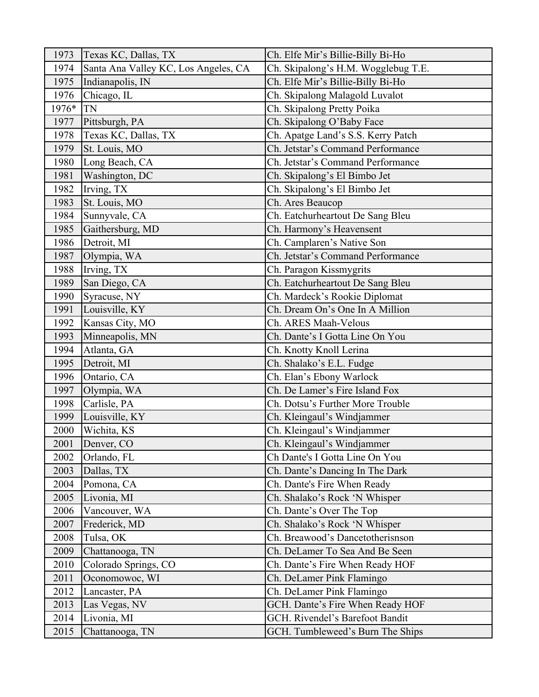| 1973  | Texas KC, Dallas, TX                 | Ch. Elfe Mir's Billie-Billy Bi-Ho   |
|-------|--------------------------------------|-------------------------------------|
| 1974  | Santa Ana Valley KC, Los Angeles, CA | Ch. Skipalong's H.M. Wogglebug T.E. |
| 1975  | Indianapolis, IN                     | Ch. Elfe Mir's Billie-Billy Bi-Ho   |
| 1976  | Chicago, IL                          | Ch. Skipalong Malagold Luvalot      |
| 1976* | TN                                   | Ch. Skipalong Pretty Poika          |
| 1977  | Pittsburgh, PA                       | Ch. Skipalong O'Baby Face           |
| 1978  | Texas KC, Dallas, TX                 | Ch. Apatge Land's S.S. Kerry Patch  |
| 1979  | St. Louis, MO                        | Ch. Jetstar's Command Performance   |
| 1980  | Long Beach, CA                       | Ch. Jetstar's Command Performance   |
| 1981  | Washington, DC                       | Ch. Skipalong's El Bimbo Jet        |
| 1982  | Irving, TX                           | Ch. Skipalong's El Bimbo Jet        |
| 1983  | St. Louis, MO                        | Ch. Ares Beaucop                    |
| 1984  | Sunnyvale, CA                        | Ch. Eatchurheartout De Sang Bleu    |
| 1985  | Gaithersburg, MD                     | Ch. Harmony's Heavensent            |
| 1986  | Detroit, MI                          | Ch. Camplaren's Native Son          |
| 1987  | Olympia, WA                          | Ch. Jetstar's Command Performance   |
| 1988  | Irving, TX                           | Ch. Paragon Kissmygrits             |
| 1989  | San Diego, CA                        | Ch. Eatchurheartout De Sang Bleu    |
| 1990  | Syracuse, NY                         | Ch. Mardeck's Rookie Diplomat       |
| 1991  | Louisville, KY                       | Ch. Dream On's One In A Million     |
| 1992  | Kansas City, MO                      | Ch. ARES Maah-Velous                |
| 1993  | Minneapolis, MN                      | Ch. Dante's I Gotta Line On You     |
| 1994  | Atlanta, GA                          | Ch. Knotty Knoll Lerina             |
| 1995  | Detroit, MI                          | Ch. Shalako's E.L. Fudge            |
| 1996  | Ontario, CA                          | Ch. Elan's Ebony Warlock            |
| 1997  | Olympia, WA                          | Ch. De Lamer's Fire Island Fox      |
| 1998  | Carlisle, PA                         | Ch. Dotsu's Further More Trouble    |
| 1999  | Louisville, KY                       | Ch. Kleingaul's Windjammer          |
| 2000  | Wichita, KS                          | Ch. Kleingaul's Windjammer          |
| 2001  | Denver, CO                           | Ch. Kleingaul's Windjammer          |
| 2002  | Orlando, FL                          | Ch Dante's I Gotta Line On You      |
| 2003  | Dallas, TX                           | Ch. Dante's Dancing In The Dark     |
| 2004  | Pomona, CA                           | Ch. Dante's Fire When Ready         |
| 2005  | Livonia, MI                          | Ch. Shalako's Rock 'N Whisper       |
| 2006  | Vancouver, WA                        | Ch. Dante's Over The Top            |
| 2007  | Frederick, MD                        | Ch. Shalako's Rock 'N Whisper       |
| 2008  | Tulsa, OK                            | Ch. Breawood's Dancetotherisnson    |
| 2009  | Chattanooga, TN                      | Ch. DeLamer To Sea And Be Seen      |
| 2010  | Colorado Springs, CO                 | Ch. Dante's Fire When Ready HOF     |
| 2011  | Oconomowoc, WI                       | Ch. DeLamer Pink Flamingo           |
| 2012  | Lancaster, PA                        | Ch. DeLamer Pink Flamingo           |
| 2013  | Las Vegas, NV                        | GCH. Dante's Fire When Ready HOF    |
| 2014  | Livonia, MI                          | GCH. Rivendel's Barefoot Bandit     |
| 2015  | Chattanooga, TN                      | GCH. Tumbleweed's Burn The Ships    |